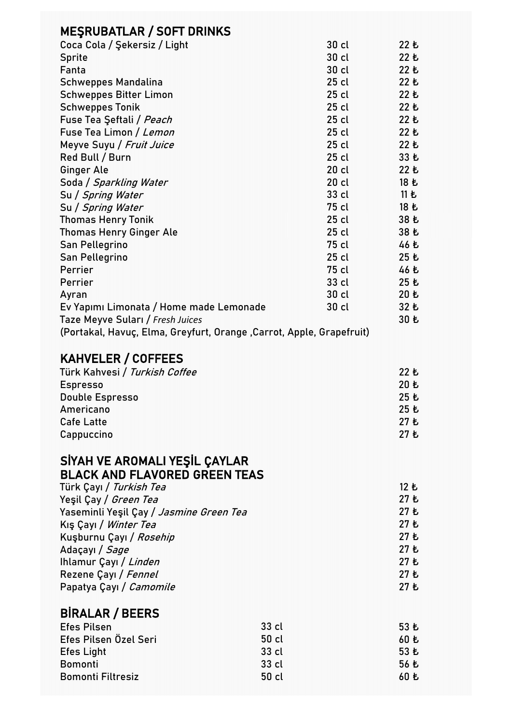| <b>MESRUBATLAR / SOFT DRINKS</b>                                     |       |         |              |
|----------------------------------------------------------------------|-------|---------|--------------|
| Coca Cola / Şekersiz / Light                                         |       | $30$ cl | 22 も         |
| <b>Sprite</b>                                                        |       | 30 cl   | 22 Ł         |
| Fanta                                                                |       | 30 cl   | 22 も         |
| <b>Schweppes Mandalina</b>                                           |       | $25$ cl | 22 も         |
| <b>Schweppes Bitter Limon</b>                                        |       | $25$ cl | 22 も         |
| <b>Schweppes Tonik</b>                                               |       | $25$ cl | 22 も         |
| Fuse Tea Şeftali / Peach                                             |       | $25$ cl | 22 も         |
| Fuse Tea Limon / Lemon                                               |       | $25$ cl | 22 も         |
| Meyve Suyu / Fruit Juice                                             |       | $25$ cl | 22E          |
| Red Bull / Burn                                                      |       | $25$ cl | 33 Ł         |
| <b>Ginger Ale</b>                                                    |       | $20$ cl | 22E          |
| Soda / Sparkling Water                                               |       | $20$ cl | 18 も         |
| Su / Spring Water                                                    |       | 33 cl   | 11E          |
| Su / Spring Water                                                    |       | 75 cl   | 18 Ł         |
| <b>Thomas Henry Tonik</b>                                            |       | $25$ cl | 38 乜         |
| <b>Thomas Henry Ginger Ale</b>                                       |       | $25$ cl | 38 Ł         |
| San Pellegrino                                                       |       | 75 cl   | 46 Ł         |
| San Pellegrino                                                       |       | $25$ cl | 25 も         |
| Perrier                                                              |       | 75 cl   | 46 Ł         |
| Perrier                                                              |       | 33 cl   | 25E          |
| Ayran                                                                |       | $30$ cl | 20E          |
| Ev Yapımı Limonata / Home made Lemonade                              |       | 30 cl   | 32 も         |
| Taze Meyve Suları / Fresh Juices                                     |       |         | 30 乜         |
| (Portakal, Havuç, Elma, Greyfurt, Orange, Carrot, Apple, Grapefruit) |       |         |              |
|                                                                      |       |         |              |
| <b>KAHVELER / COFFEES</b>                                            |       |         |              |
| Türk Kahvesi / <i>Turkish Coffee</i>                                 |       |         | 22 も         |
| <b>Espresso</b>                                                      |       |         | 20 乜         |
| <b>Double Espresso</b>                                               |       |         | 25 乜         |
| Americano<br><b>Cafe Latte</b>                                       |       |         | 25 Ł         |
|                                                                      |       |         | 27 Ł<br>27 も |
| Cappuccino                                                           |       |         |              |
|                                                                      |       |         |              |
| SİYAH VE AROMALI YEŞİL ÇAYLAR                                        |       |         |              |
| <b>BLACK AND FLAVORED GREEN TEAS</b>                                 |       |         |              |
| Türk Çayı / Turkish Tea                                              |       |         | 12 も         |
| Yeşil Çay / <i>Green Tea</i>                                         |       |         | 27 Ł<br>27 も |
| Yaseminli Yeşil Çay / Jasmine Green Tea                              |       |         | 27 Ł         |
| Kış Çayı / Winter Tea                                                |       |         | 27 も         |
| Kuşburnu Çayı / Rosehip<br>Adaçayı / Sage                            |       |         | 27 Ł         |
| Ihlamur Çayı / Linden                                                |       |         | 27 も         |
| Rezene Çayı / Fennel                                                 |       |         | 27 Ł         |
| Papatya Çayı / Camomile                                              |       |         | 27 Ł         |
|                                                                      |       |         |              |
| <b>BIRALAR / BEERS</b>                                               |       |         |              |
| <b>Efes Pilsen</b>                                                   | 33 cl |         | 53 Ł         |
| Efes Pilsen Özel Seri                                                | 50 cl |         | 60 乜         |
| <b>Efes Light</b>                                                    | 33 cl |         | 53 Ł         |
| <b>Bomonti</b>                                                       | 33 cl |         | 56 Ł         |
| <b>Bomonti Filtresiz</b>                                             | 50 cl |         | 60 乜         |
|                                                                      |       |         |              |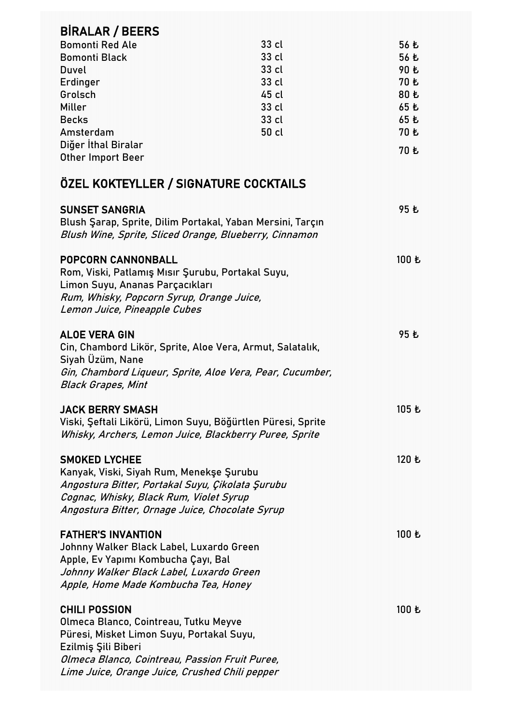| <b>BIRALAR / BEERS</b>                                                                                                                                                                                                                |       |             |
|---------------------------------------------------------------------------------------------------------------------------------------------------------------------------------------------------------------------------------------|-------|-------------|
| <b>Bomonti Red Ale</b>                                                                                                                                                                                                                | 33 cl | 56 乜        |
| <b>Bomonti Black</b>                                                                                                                                                                                                                  | 33 cl | 56 Ł        |
| Duvel                                                                                                                                                                                                                                 | 33 cl | 90 も        |
| Erdinger                                                                                                                                                                                                                              | 33 cl | 70 乜        |
| Grolsch                                                                                                                                                                                                                               | 45 cl | 80 も        |
| Miller                                                                                                                                                                                                                                | 33 cl | 65 も        |
| <b>Becks</b>                                                                                                                                                                                                                          | 33 cl | 65 も        |
| Amsterdam                                                                                                                                                                                                                             | 50 cl | <b>70 Ł</b> |
| Diğer İthal Biralar                                                                                                                                                                                                                   |       | 70 も        |
| <b>Other Import Beer</b>                                                                                                                                                                                                              |       |             |
| ÖZEL KOKTEYLLER / SIGNATURE COCKTAILS                                                                                                                                                                                                 |       |             |
| <b>SUNSET SANGRIA</b>                                                                                                                                                                                                                 |       | 95 も        |
| Blush Şarap, Sprite, Dilim Portakal, Yaban Mersini, Tarçın                                                                                                                                                                            |       |             |
| Blush Wine, Sprite, Sliced Orange, Blueberry, Cinnamon                                                                                                                                                                                |       |             |
|                                                                                                                                                                                                                                       |       |             |
| <b>POPCORN CANNONBALL</b>                                                                                                                                                                                                             |       | 100 も       |
| Rom, Viski, Patlamış Mısır Şurubu, Portakal Suyu,                                                                                                                                                                                     |       |             |
| Limon Suyu, Ananas Parçacıkları                                                                                                                                                                                                       |       |             |
| Rum, Whisky, Popcorn Syrup, Orange Juice,                                                                                                                                                                                             |       |             |
| Lemon Juice, Pineapple Cubes                                                                                                                                                                                                          |       |             |
|                                                                                                                                                                                                                                       |       |             |
| <b>ALOE VERA GIN</b>                                                                                                                                                                                                                  |       | 95 Ł        |
| Cin, Chambord Likör, Sprite, Aloe Vera, Armut, Salatalık,                                                                                                                                                                             |       |             |
| Siyah Üzüm, Nane                                                                                                                                                                                                                      |       |             |
| Gin, Chambord Liqueur, Sprite, Aloe Vera, Pear, Cucumber,                                                                                                                                                                             |       |             |
| <b>Black Grapes, Mint</b>                                                                                                                                                                                                             |       |             |
|                                                                                                                                                                                                                                       |       |             |
| <b>JACK BERRY SMASH</b>                                                                                                                                                                                                               |       | 105 も       |
| Viski, Şeftali Likörü, Limon Suyu, Böğürtlen Püresi, Sprite                                                                                                                                                                           |       |             |
| Whisky, Archers, Lemon Juice, Blackberry Puree, Sprite                                                                                                                                                                                |       |             |
| <b>SMOKED LYCHEE</b>                                                                                                                                                                                                                  |       | 120 も       |
| Kanyak, Viski, Siyah Rum, Menekşe Şurubu                                                                                                                                                                                              |       |             |
| Angostura Bitter, Portakal Suyu, Çikolata Şurubu                                                                                                                                                                                      |       |             |
| Cognac, Whisky, Black Rum, Violet Syrup                                                                                                                                                                                               |       |             |
| Angostura Bitter, Ornage Juice, Chocolate Syrup                                                                                                                                                                                       |       |             |
|                                                                                                                                                                                                                                       |       |             |
| <b>FATHER'S INVANTION</b>                                                                                                                                                                                                             |       | 100 も       |
| Johnny Walker Black Label, Luxardo Green                                                                                                                                                                                              |       |             |
| Apple, Ev Yapımı Kombucha Çayı, Bal                                                                                                                                                                                                   |       |             |
| Johnny Walker Black Label, Luxardo Green                                                                                                                                                                                              |       |             |
| Apple, Home Made Kombucha Tea, Honey                                                                                                                                                                                                  |       |             |
|                                                                                                                                                                                                                                       |       |             |
|                                                                                                                                                                                                                                       |       | 100 も       |
|                                                                                                                                                                                                                                       |       |             |
|                                                                                                                                                                                                                                       |       |             |
|                                                                                                                                                                                                                                       |       |             |
|                                                                                                                                                                                                                                       |       |             |
| <b>CHILI POSSION</b><br>Olmeca Blanco, Cointreau, Tutku Meyve<br>Püresi, Misket Limon Suyu, Portakal Suyu,<br>Ezilmiş Şili Biberi<br>Olmeca Blanco, Cointreau, Passion Fruit Puree,<br>Lime Juice, Orange Juice, Crushed Chili pepper |       |             |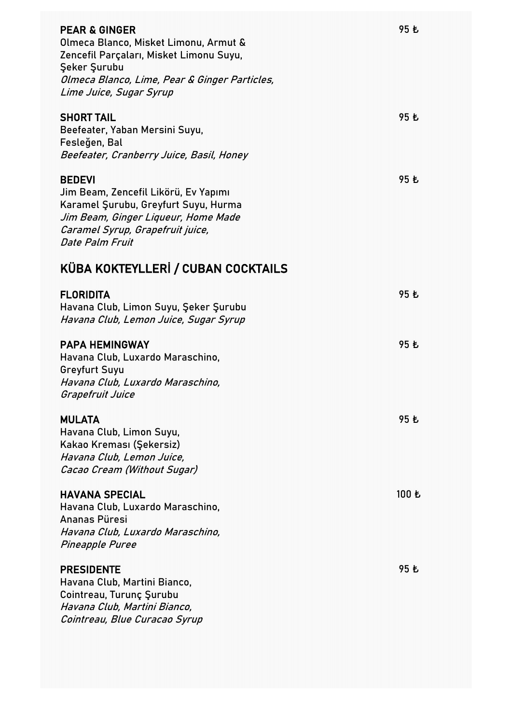| <b>PEAR &amp; GINGER</b><br>Olmeca Blanco, Misket Limonu, Armut &<br>Zencefil Parçaları, Misket Limonu Suyu,<br><b>Şeker Şurubu</b><br>Olmeca Blanco, Lime, Pear & Ginger Particles,<br>Lime Juice, Sugar Syrup | 95 乜  |
|-----------------------------------------------------------------------------------------------------------------------------------------------------------------------------------------------------------------|-------|
| <b>SHORT TAIL</b><br>Beefeater, Yaban Mersini Suyu,<br>Fesleğen, Bal<br>Beefeater, Cranberry Juice, Basil, Honey                                                                                                | 95 乜  |
| <b>BEDEVI</b><br>Jim Beam, Zencefil Likörü, Ev Yapımı<br>Karamel Şurubu, Greyfurt Suyu, Hurma<br>Jim Beam, Ginger Liqueur, Home Made<br>Caramel Syrup, Grapefruit juice,<br>Date Palm Fruit                     | 95 乜  |
| KÜBA KOKTEYLLERİ / CUBAN COCKTAILS                                                                                                                                                                              |       |
| <b>FLORIDITA</b><br>Havana Club, Limon Suyu, Şeker Şurubu<br>Havana Club, Lemon Juice, Sugar Syrup                                                                                                              | 95 乜  |
| <b>PAPA HEMINGWAY</b><br>Havana Club, Luxardo Maraschino,<br><b>Greyfurt Suyu</b><br>Havana Club, Luxardo Maraschino,<br>Grapefruit Juice                                                                       | 95 Ł  |
| <b>MULATA</b><br>Havana Club, Limon Suyu,<br>Kakao Kreması (Şekersiz)<br>Havana Club, Lemon Juice,<br>Cacao Cream (Without Sugar)                                                                               | 95 Ł  |
| <b>HAVANA SPECIAL</b><br>Havana Club, Luxardo Maraschino,<br>Ananas Püresi<br>Havana Club, Luxardo Maraschino,<br><b>Pineapple Puree</b>                                                                        | 100 も |
| <b>PRESIDENTE</b><br>Havana Club, Martini Bianco,<br>Cointreau, Turunç Şurubu<br>Havana Club, Martini Bianco,<br>Cointreau, Blue Curacao Syrup                                                                  | 95 乜  |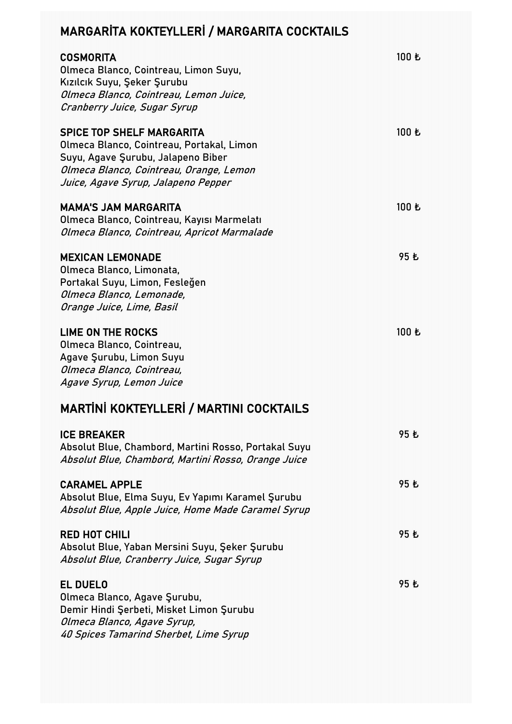## MARGARİTA KOKTEYLLERİ / MARGARITA COCKTAILS

| <b>COSMORITA</b><br>Olmeca Blanco, Cointreau, Limon Suyu,<br>Kızılcık Suyu, Şeker Şurubu<br>Olmeca Blanco, Cointreau, Lemon Juice,<br>Cranberry Juice, Sugar Syrup                                    | 100 も |
|-------------------------------------------------------------------------------------------------------------------------------------------------------------------------------------------------------|-------|
| <b>SPICE TOP SHELF MARGARITA</b><br>Olmeca Blanco, Cointreau, Portakal, Limon<br>Suyu, Agave Şurubu, Jalapeno Biber<br>Olmeca Blanco, Cointreau, Orange, Lemon<br>Juice, Agave Syrup, Jalapeno Pepper | 100 Ł |
| <b>MAMA'S JAM MARGARITA</b><br>Olmeca Blanco, Cointreau, Kayısı Marmelatı<br>Olmeca Blanco, Cointreau, Apricot Marmalade                                                                              | 100 Ł |
| <b>MEXICAN LEMONADE</b><br>Olmeca Blanco, Limonata,<br>Portakal Suyu, Limon, Fesleğen<br>Olmeca Blanco, Lemonade,<br>Orange Juice, Lime, Basil                                                        | 95 乜  |
| <b>LIME ON THE ROCKS</b><br>Olmeca Blanco, Cointreau,<br>Agave Şurubu, Limon Suyu<br>Olmeca Blanco, Cointreau,<br>Agave Syrup, Lemon Juice                                                            | 100 Ł |
| <b>MARTINI KOKTEYLLERI / MARTINI COCKTAILS</b>                                                                                                                                                        |       |
| <b>ICE BREAKER</b><br>Absolut Blue, Chambord, Martini Rosso, Portakal Suyu<br>Absolut Blue, Chambord, Martini Rosso, Orange Juice                                                                     | 95 乜  |
| <b>CARAMEL APPLE</b><br>Absolut Blue, Elma Suyu, Ev Yapımı Karamel Şurubu<br>Absolut Blue, Apple Juice, Home Made Caramel Syrup                                                                       | 95 乜  |
| <b>RED HOT CHILI</b><br>Absolut Blue, Yaban Mersini Suyu, Şeker Şurubu<br>Absolut Blue, Cranberry Juice, Sugar Syrup                                                                                  | 95 乜  |
| <b>EL DUELO</b><br>Olmeca Blanco, Agave Şurubu,<br>Demir Hindi Şerbeti, Misket Limon Şurubu<br>Olmeca Blanco, Agave Syrup,<br>40 Spices Tamarind Sherbet, Lime Syrup                                  | 95 も  |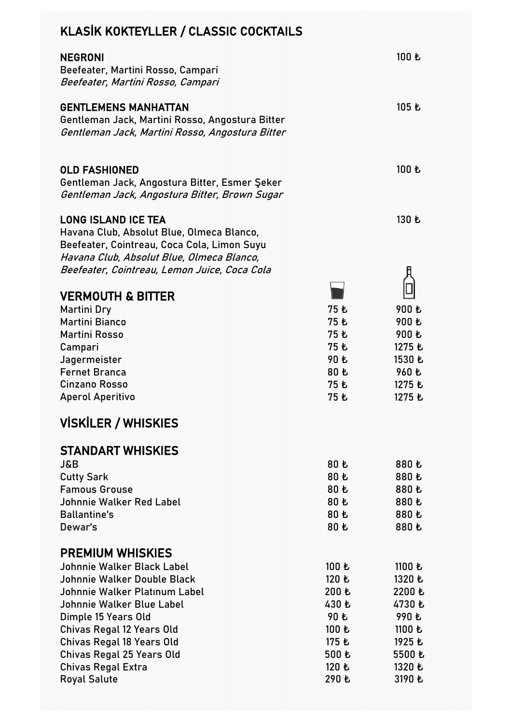| KLASİK KOKTEYLLER / CLASSIC COCKTAILS                                                                                                                                                                                                        |                                                                     |                                                                             |
|----------------------------------------------------------------------------------------------------------------------------------------------------------------------------------------------------------------------------------------------|---------------------------------------------------------------------|-----------------------------------------------------------------------------|
| <b>NEGRONI</b><br>Beefeater, Martini Rosso, Campari<br>Beefeater, Martini Rosso, Campari                                                                                                                                                     |                                                                     | 100 も                                                                       |
| <b>GENTLEMENS MANHATTAN</b><br>Gentleman Jack, Martini Rosso, Angostura Bitter<br>Gentleman Jack, Martini Rosso, Angostura Bitter                                                                                                            |                                                                     | 105 も                                                                       |
| <b>OLD FASHIONED</b><br>Gentleman Jack, Angostura Bitter, Esmer Şeker<br>Gentleman Jack, Angostura Bitter, Brown Sugar                                                                                                                       |                                                                     | 100 も                                                                       |
| <b>LONG ISLAND ICE TEA</b><br>Havana Club, Absolut Blue, Olmeca Blanco,<br>Beefeater, Cointreau, Coca Cola, Limon Suyu<br>Havana Club, Absolut Blue, Olmeca Blanco,<br>Beefeater, Cointreau, Lemon Juice, Coca Cola                          |                                                                     | 130 も                                                                       |
|                                                                                                                                                                                                                                              |                                                                     |                                                                             |
| <b>VERMOUTH &amp; BITTER</b><br><b>Martini Dry</b><br><b>Martini Bianco</b><br><b>Martini Rosso</b><br>Campari<br>Jagermeister<br><b>Fernet Branca</b><br><b>Cinzano Rosso</b><br><b>Aperol Aperitivo</b>                                    | 75 も<br>75 乜<br>75 乜<br>75 乜<br>90 乜<br>80 乜<br>75 乜<br>75 Ł        | 900 も<br>900 も<br>900 も<br>1275 も<br>1530 乜<br>960 も<br>1275 も<br>1275 も    |
| <b>VISKILER / WHISKIES</b>                                                                                                                                                                                                                   |                                                                     |                                                                             |
| <b>STANDART WHISKIES</b><br><b>J&amp;B</b><br><b>Cutty Sark</b><br><b>Famous Grouse</b><br>Johnnie Walker Red Label<br><b>Ballantine's</b><br>Dewar's                                                                                        | 80 も<br>80 Ł<br>80 Ł<br>80 Ł<br>80 Ł<br>80 Ł                        | 880 も<br>880 も<br>880 乜<br>880 も<br>880 も<br>880 も                          |
| <b>PREMIUM WHISKIES</b>                                                                                                                                                                                                                      |                                                                     |                                                                             |
| Johnnie Walker Black Label<br>Johnnie Walker Double Black<br>Johnnie Walker Platinum Label<br>Johnnie Walker Blue Label<br>Dimple 15 Years Old<br>Chivas Regal 12 Years Old<br>Chivas Regal 18 Years Old<br><b>Chivas Regal 25 Years Old</b> | 100 も<br>120 Ł<br>200 も<br>430 も<br>90 も<br>100 も<br>175 も<br>500 乜 | 1100 も<br>1320 乜<br>2200 乜<br>4730 も<br>990 乜<br>1100 も<br>1925 も<br>5500 乜 |
| <b>Chivas Regal Extra</b><br><b>Royal Salute</b>                                                                                                                                                                                             | 120 Ł<br>290 も                                                      | 1320 も<br>3190 も                                                            |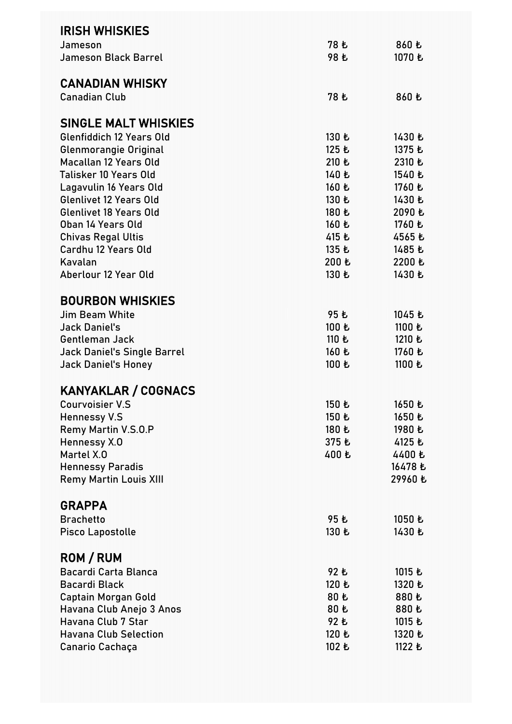| <b>IRISH WHISKIES</b>              |       |         |
|------------------------------------|-------|---------|
| Jameson                            | 78 も  | 860 も   |
| <b>Jameson Black Barrel</b>        | 98 乜  | 1070 も  |
|                                    |       |         |
| <b>CANADIAN WHISKY</b>             |       |         |
| <b>Canadian Club</b>               | 78 も  | 860 乜   |
| SINGLE MALT WHISKIES               |       |         |
| <b>Glenfiddich 12 Years Old</b>    | 130 Ł | 1430 も  |
| Glenmorangie Original              | 125 も | 1375 も  |
| <b>Macallan 12 Years Old</b>       | 210 も | 2310 も  |
| Talisker 10 Years Old              | 140 も | 1540 乜  |
| Lagavulin 16 Years Old             | 160 も | 1760 も  |
| <b>Glenlivet 12 Years Old</b>      | 130 も | 1430 も  |
| <b>Glenlivet 18 Years Old</b>      | 180 も | 2090 も  |
| Oban 14 Years Old                  | 160 も | 1760 も  |
| <b>Chivas Regal Ultis</b>          | 415 も | 4565 も  |
| Cardhu 12 Years Old                | 135 Ł | 1485 も  |
| Kavalan                            | 200 も | 2200 も  |
| Aberlour 12 Year Old               | 130 も | 1430 乜  |
|                                    |       |         |
| <b>BOURBON WHISKIES</b>            |       |         |
| <b>Jim Beam White</b>              | 95 乜  | 1045 も  |
| <b>Jack Daniel's</b>               | 100 も | 1100 も  |
| <b>Gentleman Jack</b>              | 110 も | 1210 も  |
| <b>Jack Daniel's Single Barrel</b> | 160 も | 1760 も  |
| <b>Jack Daniel's Honey</b>         | 100 も | 1100 も  |
|                                    |       |         |
| <b>KANYAKLAR / COGNACS</b>         |       |         |
| Courvoisier V.S.                   | 150 乜 | 1650 乜  |
| <b>Hennessy V.S</b>                | 150 乜 | 1650 乜  |
| Remy Martin V.S.O.P                | 180 も | 1980 も  |
| Hennessy X.O                       | 375 も | 4125 も  |
| Martel X.O                         | 400 乜 | 4400 乜  |
| <b>Hennessy Paradis</b>            |       | 16478 も |
| <b>Remy Martin Louis XIII</b>      |       | 29960 乜 |
|                                    |       |         |
| <b>GRAPPA</b>                      |       |         |
| <b>Brachetto</b>                   | 95 Ł  | 1050 も  |
| <b>Pisco Lapostolle</b>            | 130 乜 | 1430 乜  |
|                                    |       |         |
| <b>ROM / RUM</b>                   |       |         |
| Bacardi Carta Blanca               | 92 乜  | 1015 も  |
| <b>Bacardi Black</b>               | 120 も | 1320 乜  |
| <b>Captain Morgan Gold</b>         | 80 乜  | 880 も   |
| Havana Club Anejo 3 Anos           | 80 乜  | 880 も   |
| Havana Club 7 Star                 | 92 乜  | 1015 も  |
| <b>Havana Club Selection</b>       | 120 も | 1320 乜  |
| Canario Cachaça                    | 102 も | 1122 も  |
|                                    |       |         |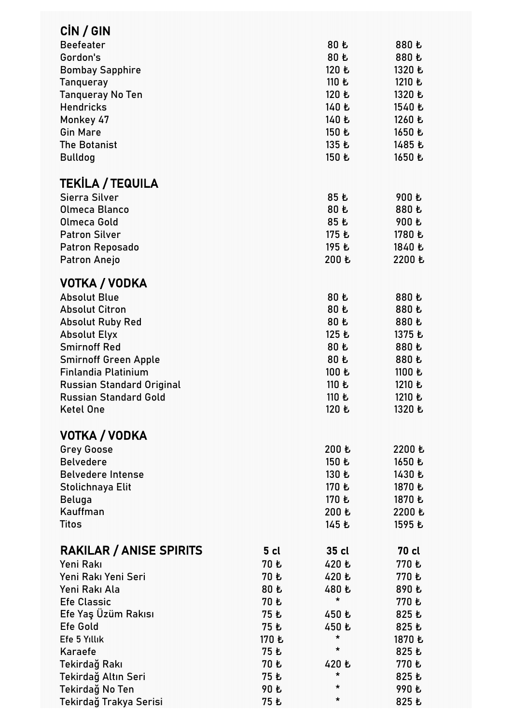| CIN / GIN                              |       |                   |              |
|----------------------------------------|-------|-------------------|--------------|
| <b>Beefeater</b>                       |       | 80 も              | 880 も        |
| Gordon's                               |       | 80 も              | 880 乜        |
| <b>Bombay Sapphire</b>                 |       | 120 も             | 1320 も       |
| <b>Tanqueray</b>                       |       | 110 も             | 1210 も       |
| <b>Tanqueray No Ten</b>                |       | 120 も             | 1320 乜       |
| <b>Hendricks</b>                       |       | 140 も             | 1540 乜       |
| Monkey 47                              |       | 140 も             | 1260 乜       |
| <b>Gin Mare</b>                        |       | 150 も             | 1650 も       |
| <b>The Botanist</b>                    |       | 135 も             | 1485 も       |
| <b>Bulldog</b>                         |       | 150 乜             | 1650 乜       |
|                                        |       |                   |              |
| <b>TEKILA / TEQUILA</b>                |       |                   |              |
| Sierra Silver                          |       | 85 も              | 900 乜        |
| Olmeca Blanco                          |       | 80 乜              | 880 乜        |
| Olmeca Gold                            |       | 85 乜              | 900 も        |
| <b>Patron Silver</b>                   |       | 175 も             | 1780 も       |
| <b>Patron Reposado</b>                 |       | 195 も             | 1840 も       |
|                                        |       | 200 も             | 2200 Ł       |
| Patron Anejo                           |       |                   |              |
| VOTKA / VODKA                          |       |                   |              |
| <b>Absolut Blue</b>                    |       | 80 も              | 880 乜        |
| <b>Absolut Citron</b>                  |       | 80 乜              | 880 も        |
| <b>Absolut Ruby Red</b>                |       | 80 乜              | 880 も        |
| <b>Absolut Elyx</b>                    |       | 125 Ł             | 1375 も       |
| <b>Smirnoff Red</b>                    |       | 80 乜              | 880 も        |
| <b>Smirnoff Green Apple</b>            |       | 80 Ł              | 880 も        |
| <b>Finlandia Platinium</b>             |       | 100 も             | 1100 も       |
| <b>Russian Standard Original</b>       |       | 110 も             | 1210 も       |
| <b>Russian Standard Gold</b>           |       | 110 も             | 1210 も       |
| <b>Ketel One</b>                       |       | 120 Ł             | 1320 乜       |
|                                        |       |                   |              |
| VOTKA / VODKA                          |       |                   |              |
| <b>Grey Goose</b>                      |       | 200 も             | 2200 乜       |
| <b>Belvedere</b>                       |       | 150 も             | 1650 乜       |
| <b>Belvedere Intense</b>               |       | 130 も             | 1430 乜       |
| Stolichnaya Elit                       |       | 170 も             | 1870 乜       |
| Beluga                                 |       | 170 も             | 1870 も       |
| Kauffman                               |       | 200 も             | 2200 Ł       |
| <b>Titos</b>                           |       | 145 も             | 1595 乜       |
|                                        |       |                   |              |
| <b>RAKILAR / ANISE SPIRITS</b>         | 5 cl  | 35 cl             | <b>70 cl</b> |
| Yeni Rakı                              | 70 乜  | 420 乜             | 770 も        |
| Yeni Rakı Yeni Seri                    | 70 も  | 420 乜             | 770 も        |
| Yeni Rakı Ala                          | 80 乜  | 480 も             | 890 乜        |
| <b>Efe Classic</b>                     | 70 も  | *                 | 770 も        |
|                                        |       |                   |              |
| Efe Yaş Üzüm Rakısı<br><b>Efe Gold</b> | 75 Ł  | 450 乜             | 825 乜        |
|                                        | 75 乜  | 450 も<br>*        | 825 乜        |
| Efe 5 Yıllık                           | 170 も | *                 | 1870 乜       |
| Karaefe                                | 75 も  |                   | 825 乜        |
| Tekirdağ Rakı                          | 70 も  | 420 も<br>$^\star$ | 770 も        |
| Tekirdağ Altın Seri                    | 75 Ł  | *                 | 825 乜        |
| Tekirdağ No Ten                        | 90 乜  | *                 | 990 乜        |
| Tekirdağ Trakya Serisi                 | 75 Ł  |                   | 825 も        |